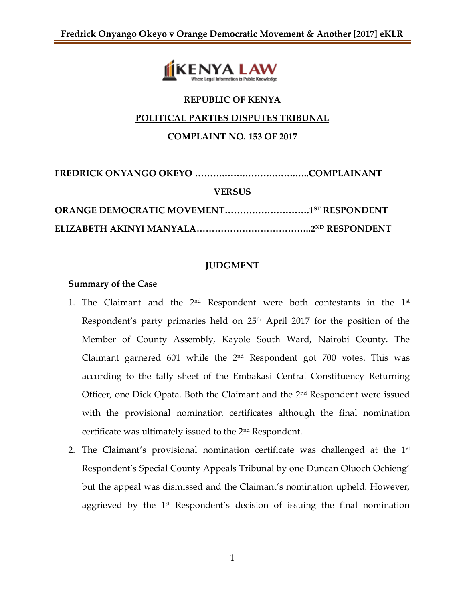

# **REPUBLIC OF KENYA**

#### **POLITICAL PARTIES DISPUTES TRIBUNAL**

## **COMPLAINT NO. 153 OF 2017**

| <b>VERSUS</b>                                   |  |
|-------------------------------------------------|--|
| <b>ORANGE DEMOCRATIC MOVEMENT15T RESPONDENT</b> |  |
|                                                 |  |

# **JUDGMENT**

## **Summary of the Case**

- 1. The Claimant and the  $2<sup>nd</sup>$  Respondent were both contestants in the  $1<sup>st</sup>$ Respondent's party primaries held on 25<sup>th</sup> April 2017 for the position of the Member of County Assembly, Kayole South Ward, Nairobi County. The Claimant garnered 601 while the  $2<sup>nd</sup>$  Respondent got 700 votes. This was according to the tally sheet of the Embakasi Central Constituency Returning Officer, one Dick Opata. Both the Claimant and the 2<sup>nd</sup> Respondent were issued with the provisional nomination certificates although the final nomination certificate was ultimately issued to the 2nd Respondent.
- 2. The Claimant's provisional nomination certificate was challenged at the  $1<sup>st</sup>$ Respondent's Special County Appeals Tribunal by one Duncan Oluoch Ochieng' but the appeal was dismissed and the Claimant's nomination upheld. However, aggrieved by the 1<sup>st</sup> Respondent's decision of issuing the final nomination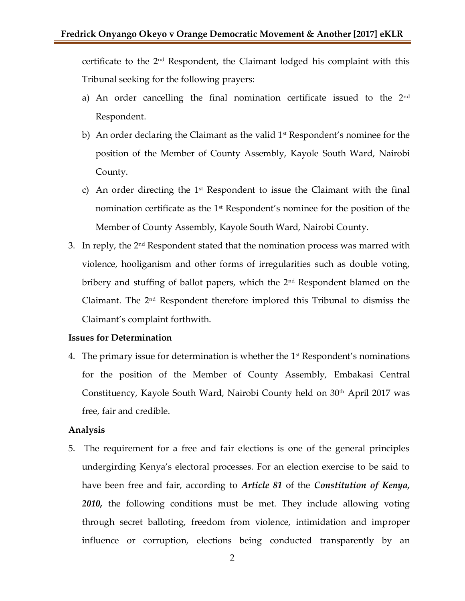certificate to the 2nd Respondent, the Claimant lodged his complaint with this Tribunal seeking for the following prayers:

- a) An order cancelling the final nomination certificate issued to the  $2<sup>nd</sup>$ Respondent.
- b) An order declaring the Claimant as the valid  $1<sup>st</sup>$  Respondent's nominee for the position of the Member of County Assembly, Kayole South Ward, Nairobi County.
- c) An order directing the  $1<sup>st</sup>$  Respondent to issue the Claimant with the final nomination certificate as the 1st Respondent's nominee for the position of the Member of County Assembly, Kayole South Ward, Nairobi County.
- 3. In reply, the 2<sup>nd</sup> Respondent stated that the nomination process was marred with violence, hooliganism and other forms of irregularities such as double voting, bribery and stuffing of ballot papers, which the 2<sup>nd</sup> Respondent blamed on the Claimant. The 2nd Respondent therefore implored this Tribunal to dismiss the Claimant's complaint forthwith.

#### **Issues for Determination**

4. The primary issue for determination is whether the  $1<sup>st</sup>$  Respondent's nominations for the position of the Member of County Assembly, Embakasi Central Constituency, Kayole South Ward, Nairobi County held on 30<sup>th</sup> April 2017 was free, fair and credible.

#### **Analysis**

5. The requirement for a free and fair elections is one of the general principles undergirding Kenya's electoral processes. For an election exercise to be said to have been free and fair, according to *Article 81* of the *Constitution of Kenya, 2010,* the following conditions must be met. They include allowing voting through secret balloting, freedom from violence, intimidation and improper influence or corruption, elections being conducted transparently by an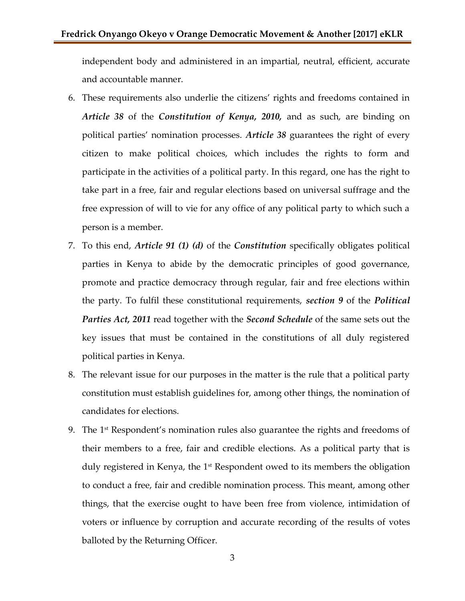independent body and administered in an impartial, neutral, efficient, accurate and accountable manner.

- 6. These requirements also underlie the citizens' rights and freedoms contained in *Article 38* of the *Constitution of Kenya, 2010,* and as such, are binding on political parties' nomination processes. *Article 38* guarantees the right of every citizen to make political choices, which includes the rights to form and participate in the activities of a political party. In this regard, one has the right to take part in a free, fair and regular elections based on universal suffrage and the free expression of will to vie for any office of any political party to which such a person is a member.
- 7. To this end, *Article 91 (1) (d)* of the *Constitution* specifically obligates political parties in Kenya to abide by the democratic principles of good governance, promote and practice democracy through regular, fair and free elections within the party. To fulfil these constitutional requirements, *section 9* of the *Political Parties Act, 2011* read together with the *Second Schedule* of the same sets out the key issues that must be contained in the constitutions of all duly registered political parties in Kenya.
- 8. The relevant issue for our purposes in the matter is the rule that a political party constitution must establish guidelines for, among other things, the nomination of candidates for elections.
- 9. The  $1<sup>st</sup>$  Respondent's nomination rules also guarantee the rights and freedoms of their members to a free, fair and credible elections. As a political party that is duly registered in Kenya, the 1<sup>st</sup> Respondent owed to its members the obligation to conduct a free, fair and credible nomination process. This meant, among other things, that the exercise ought to have been free from violence, intimidation of voters or influence by corruption and accurate recording of the results of votes balloted by the Returning Officer.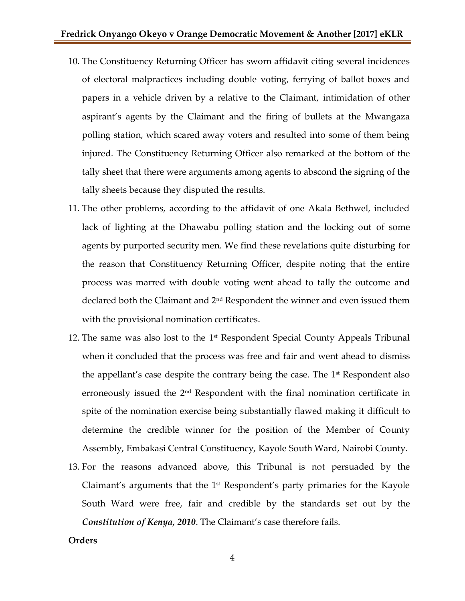- 10. The Constituency Returning Officer has sworn affidavit citing several incidences of electoral malpractices including double voting, ferrying of ballot boxes and papers in a vehicle driven by a relative to the Claimant, intimidation of other aspirant's agents by the Claimant and the firing of bullets at the Mwangaza polling station, which scared away voters and resulted into some of them being injured. The Constituency Returning Officer also remarked at the bottom of the tally sheet that there were arguments among agents to abscond the signing of the tally sheets because they disputed the results.
- 11. The other problems, according to the affidavit of one Akala Bethwel, included lack of lighting at the Dhawabu polling station and the locking out of some agents by purported security men. We find these revelations quite disturbing for the reason that Constituency Returning Officer, despite noting that the entire process was marred with double voting went ahead to tally the outcome and declared both the Claimant and 2nd Respondent the winner and even issued them with the provisional nomination certificates.
- 12. The same was also lost to the 1<sup>st</sup> Respondent Special County Appeals Tribunal when it concluded that the process was free and fair and went ahead to dismiss the appellant's case despite the contrary being the case. The  $1<sup>st</sup>$  Respondent also erroneously issued the 2nd Respondent with the final nomination certificate in spite of the nomination exercise being substantially flawed making it difficult to determine the credible winner for the position of the Member of County Assembly, Embakasi Central Constituency, Kayole South Ward, Nairobi County.
- 13. For the reasons advanced above, this Tribunal is not persuaded by the Claimant's arguments that the  $1<sup>st</sup>$  Respondent's party primaries for the Kayole South Ward were free, fair and credible by the standards set out by the *Constitution of Kenya, 2010*. The Claimant's case therefore fails.

#### **Orders**